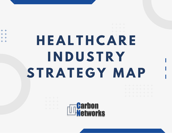**H E A L T H C A R E I N D U S T R Y S T R A T E G Y M A P**

 $+ +$ 

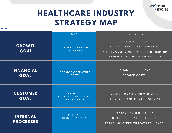

#### **HEALTHCARE INDUSTRY STRATEGY MAP**

 $+ +$  $+ +$ 

|                                     | <b>GOAL</b>                                         | <b>STRATEGY</b>                                                                                                                   |
|-------------------------------------|-----------------------------------------------------|-----------------------------------------------------------------------------------------------------------------------------------|
| <b>GROWTH</b><br><b>GOAL</b>        | DELIVER REVENUE<br><b>INCREASE</b>                  | <b>BROADEN MARKETS</b><br>EXPAND CAPACITIES & SERVICES<br>INITIATE COLLABORATIONS & PARTNERSHIP<br>LEVERAGE & OPTIMIZE TECHNOLOGY |
| <b>FINANCIAL</b><br><b>GOAL</b>     | REDUCE OPERATING<br>COSTS                           | ENHANCE EFFICIENCY<br>REDUCE COSTS                                                                                                |
| <b>CUSTOMER</b><br><b>GOAL</b>      | PRODUCE<br>EXCEPTIONAL PATIENT<br><b>EXPERIENCE</b> | DELIVER QUALITY-DRIVEN CARE<br>DELIVER COMPREHENSIVE SERVICE                                                                      |
| <b>INTERNAL</b><br><b>PROCESSES</b> | MITIGATE<br>ORGANIZATIONAL<br><b>RISKS</b>          | IMPROVE PATIENT SAFETY<br>REDUCE OPERATIONAL RISKS<br>ESTABLISH CYBER-THREAT RESILIENCE                                           |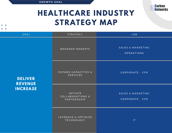

#### **HEALTHCARE INDUSTRY STRATEGY MAP**

<span id="page-2-0"></span> $+ +$  $+ +$ 

| <b>GOAL</b>                                         | STRATEGY                                    | LOB                                    |
|-----------------------------------------------------|---------------------------------------------|----------------------------------------|
| <b>DELIVER</b><br><b>REVENUE</b><br><b>INCREASE</b> | BROADEN MARKETS                             | SALES & MARKETING<br><b>OPERATIONS</b> |
|                                                     | EXPAND CAPACITIES &<br><b>SERVICES</b>      | CORPORATE - CFO                        |
|                                                     | INITIATE<br>COLLABORATIONS &<br>PARTNERSHIP | SALES & MARKETING<br>CORPORATE - CFO   |
|                                                     | LEVERAGE & OPTIMIZE<br><b>TECHNOLOGY</b>    | T                                      |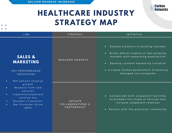

<span id="page-3-0"></span>

| <b>LOB</b>                                                                                                                                                                             | <b>STRATEGY</b>                             | <b>INITIATIVE</b>                                                                                                                                                                                                                                                       |
|----------------------------------------------------------------------------------------------------------------------------------------------------------------------------------------|---------------------------------------------|-------------------------------------------------------------------------------------------------------------------------------------------------------------------------------------------------------------------------------------------------------------------------|
| <b>SALES &amp;</b><br><b>MARKETING</b><br><b>KEY PERFORMANCE</b><br><b>INDICATORS</b><br>Net patient revenue<br>$\bullet$                                                              | <b>BROADEN MARKETS</b>                      | Expand presence in existing markets<br>$\bullet$<br>Direct efforts toward on fast-growing<br>$\bullet$<br>markets with expanding populations<br>Develop content-marketing initiative<br>$\bullet$<br>• Increase market penetration of existing<br>managed care programs |
| growth<br>Revenue from new<br>$\bullet$<br>services<br>Inpatient/outpatient<br>$\bullet$<br>revenue mix<br>Number of partners<br>$\bullet$<br>Net Promoter Score<br>$\bullet$<br>(NPS) | INITIATE<br>COLLABORATIONS &<br>PARTNERSHIP | Collaborate with outpatient facilities<br>$\bullet$ .<br>to broaden the scope of services and<br>increase outpatient revenues<br>• Partner with the physician community                                                                                                 |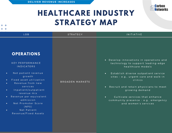

<span id="page-4-0"></span>

| <b>LOB</b>                                                                                                                                                                                                                                                                                                                                              | <b>STRATEGY</b> | INITIATIVE                                                                                                                                                                                                                                                                                                                                                                                                     |
|---------------------------------------------------------------------------------------------------------------------------------------------------------------------------------------------------------------------------------------------------------------------------------------------------------------------------------------------------------|-----------------|----------------------------------------------------------------------------------------------------------------------------------------------------------------------------------------------------------------------------------------------------------------------------------------------------------------------------------------------------------------------------------------------------------------|
| <b>OPERATIONS</b><br><b>KEY PERFORMANCE</b><br><b>INDICATORS</b><br>Net patient revenue<br>$\bullet$<br>growth<br>Fixed asset utilization<br>Revenue from new<br>services<br>Inpatient/outpatient<br>$\bullet$<br>revenue mix<br>Revenue per equivalent<br>admission<br>Net Promoter Score<br>$\bullet$<br>(NPS)<br>Net Patient<br>Revenue/Fixed Assets | BROADEN MARKETS | Develop innovations in operations and<br>$\bullet$<br>technology to support leading-edge<br>healthcare models<br>Establish diverse outpatient service<br>$\bullet$<br>sites - e.g., urgent care and walk-in<br>clinics<br>Recruit and retain physicians to meet<br>$\bullet$<br>growing demand<br>Cultivate services that enhance<br>$\bullet$<br>community presence - e.g., emergency<br>and women's services |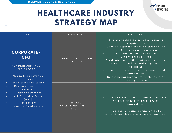

<span id="page-5-0"></span>

| <b>LOB</b>                                                                                                                                                                                                                                                                                                                              | <b>STRATEGY</b>                                    | <b>INITIATIVE</b>                                                                                                                                                                                                                                                                                                                                                                                                                                             |
|-----------------------------------------------------------------------------------------------------------------------------------------------------------------------------------------------------------------------------------------------------------------------------------------------------------------------------------------|----------------------------------------------------|---------------------------------------------------------------------------------------------------------------------------------------------------------------------------------------------------------------------------------------------------------------------------------------------------------------------------------------------------------------------------------------------------------------------------------------------------------------|
| <b>CORPORATE-</b><br><b>CFO</b><br><b>KEY PERFORMANCE</b><br><b>INDICATORS</b><br>Net patient revenue<br>$\bullet$<br>growth<br>Fixed asset utilization<br>$\bullet$<br>Revenue from new<br>$\bullet$<br>services<br>Number of partners<br>$\bullet$<br>Net Promoter Score<br>$\bullet$<br>(NPS)<br>Net patient<br>revenue/fixed assets | EXPAND CAPACITIES &<br><b>SERVICES</b>             | Explore technological advancement<br>$\bullet$<br>acquisitions<br>Develop capital allocation and gearing<br>level strategy to manage growth<br>Invest in outpatient, step-down, and<br>$\bullet$<br>urgent care services<br>• Strategize acquisition of new hospitals,<br>service providers, and outpatient<br>facilities<br>• Invest in operations and technological<br>innovations<br>Invest in improvements to the current<br>$\bullet$<br>quality of care |
|                                                                                                                                                                                                                                                                                                                                         | <b>INITIATE</b><br>COLLABORATIONS &<br>PARTNERSHIP | • Collaborate with technological partners<br>to develop health care service<br>innovations<br>Reassess existing partnerships to<br>$\bullet$<br>expand health care service management                                                                                                                                                                                                                                                                         |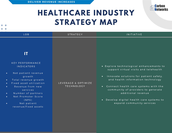<span id="page-6-0"></span> $+ +$  $+ - +$ 



| <b>LOB</b>                                                                                                                                                                                                                                                                                                                                                   | <b>STRATEGY</b>                          | <b>INITIATIVE</b>                                                                                                                                                                                                                                                                                                                                                        |
|--------------------------------------------------------------------------------------------------------------------------------------------------------------------------------------------------------------------------------------------------------------------------------------------------------------------------------------------------------------|------------------------------------------|--------------------------------------------------------------------------------------------------------------------------------------------------------------------------------------------------------------------------------------------------------------------------------------------------------------------------------------------------------------------------|
| IT<br><b>KEY PERFORMANCE</b><br><b>INDICATORS</b><br>Net patient revenue<br>$\bullet$<br>growth<br>Total revenue growth<br>$\bullet$<br>Fixed asset utilization<br>$\bullet$<br>Revenue from new<br>$\bullet$<br>services<br>Number of partners<br>$\bullet$<br>Net Promoter Score<br>$\bullet$<br>(NPS)<br>Net patient<br>$\bullet$<br>revenue/fixed assets | LEVERAGE & OPTIMIZE<br><b>TECHNOLOGY</b> | • Explore technological enhancements to<br>support virtual visits and telehealth<br>Innovate solutions for patient safety,<br>$\bullet$<br>and health information technology<br>Connect health care systems with the<br>$\bullet$ .<br>community of providers to generate<br>additional revenue<br>• Develop digital health care systems to<br>expand community services |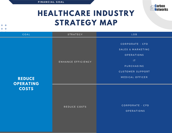

# **HEALTHCARE INDUSTRY STRATEGY MAP**

<span id="page-7-0"></span>ENHANCE EFFICIENCY R E DUCE COSTS **REDUCE OPERATING COSTS** C[O](#page-10-0)RPORATE - CFO SALES & MARKETING [O](#page-8-0) P E R A T I O N S P U R C H A S I [N](#page-11-0) G CUSTO[M](#page-9-0)ER SUPPORT [M](#page-13-0)EDICAL OFFICER GOAL CONTRATEGY COAL COMPANY COAL CONTRATEGY

C[O](#page-10-0)RPORATE - CFO [O](#page-8-0) P E R A T I O N S

I [T](#page-12-0)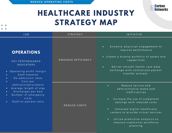

<span id="page-8-0"></span>

| <b>LOB</b>                                                                                                                                                                                         | <b>STRATEGY</b>    | INITIATIVE                                                                                                                                                                                                                                                                                                                                  |
|----------------------------------------------------------------------------------------------------------------------------------------------------------------------------------------------------|--------------------|---------------------------------------------------------------------------------------------------------------------------------------------------------------------------------------------------------------------------------------------------------------------------------------------------------------------------------------------|
| <b>OPERATIONS</b><br><b>KEY PERFORMANCE</b><br><b>INDICATORS</b><br>Operating profit margin<br>$\bullet$<br>Staff expense<br>$\bullet$<br>Re-admission rates<br>$\bullet$<br>Cost per<br>$\bullet$ | ENHANCE EFFICIENCY | Enhance physician engagement to<br>$\bullet$<br>improve performance<br>• Create a diverse portfolio of assets and<br>capabilities<br>Deliver smooth health care data<br>$\bullet$<br>exchange with centralized patient<br>transfer process                                                                                                  |
| admission/procedure<br>Average length of stay<br>$\bullet$<br>Discharges per bed<br>$\bullet$<br>Number of emergency<br>$\bullet$<br>visits<br>Staff-to-patient ratio<br>$\bullet$                 | REDUCE COSTS       | Reduce service and<br>$\bullet$<br>administrative waste and<br>inefficiencies<br>Increase the use of outpatient<br>$\bullet$<br>settings with reduced costs<br>Generate digital healthcare<br>$\bullet$<br>centers to provide virtual services<br>Utilize predictive analytics to<br>$\bullet$<br>improve traditional workforce<br>planning |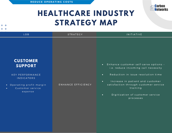<span id="page-9-0"></span> $+ +$ 



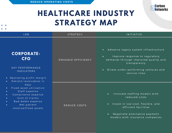

<span id="page-10-0"></span>

| <b>LOB</b>                                                                                                                                                                                                      | <b>STRATEGY</b>    | INITIATIVE                                                                                                                                                                                                                     |
|-----------------------------------------------------------------------------------------------------------------------------------------------------------------------------------------------------------------|--------------------|--------------------------------------------------------------------------------------------------------------------------------------------------------------------------------------------------------------------------------|
| <b>CORPORATE-</b><br><b>CFO</b><br><b>KEY PERFORMANCE</b><br><b>INDICATORS</b><br>Operating profit margin<br>$\bullet$<br>Patient receivables in                                                                | ENHANCE EFFICIENCY | Advance legacy system infrastructure<br>$\bullet$<br>Improve response to regulatory<br>$\bullet$<br>demands through improved quality and<br>transparency<br>Divest under-performing ventures and<br>$\bullet$<br>service lines |
| $d$ a $y$ s<br>Fixed asset utilization<br>$\bullet$<br>Staff expense<br>$\bullet$<br>Compliance expense<br>$\bullet$<br>Cost of claims<br>Bad debts expense<br>$\bullet$<br>Net patient<br>revenue/fixed assets | REDUCE COSTS       | Innovate staffing models with<br>$\bullet$<br>reduced costs<br>Invest in low-cost, flexible, and<br>$\bullet$<br>efficient facilities<br>Negotiate alternative payment<br>$\bullet$<br>models with insurance companies         |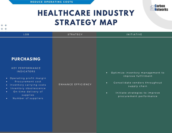

#### **HEALTHCARE INDUSTRY STRATEGY MAP**

#### <span id="page-11-0"></span>L O B S T R A T E G Y I N I T I A T I V E **PURCHASING** KEY PERFORMANCE IN DICATORS Optimize inventory management to  $\bullet$ im prove ful fill ment O perating profit margin P rocurement cost Consolidate vendors throughout  $\bullet$ EN HAN CE EFFICIENCY Inventory carrying costs  $\bullet$ supply chain Inventory obsolescence  $\bullet$ On-time delivery of  $\bullet$ Initiate strategies to improve  $\bullet$ supplies p r o c u r e m e n t p e r f o r m a n c e Number of suppliers  $\bullet$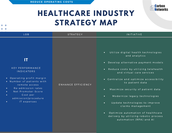

<span id="page-12-0"></span>

| <b>LOB</b>                                                                                                                                                                                                                                                                                  | <b>STRATEGY</b>    | <b>INITIATIVE</b>                                                                                                                                                                                                                                                                                                                                                                                                                                                                                                                        |
|---------------------------------------------------------------------------------------------------------------------------------------------------------------------------------------------------------------------------------------------------------------------------------------------|--------------------|------------------------------------------------------------------------------------------------------------------------------------------------------------------------------------------------------------------------------------------------------------------------------------------------------------------------------------------------------------------------------------------------------------------------------------------------------------------------------------------------------------------------------------------|
| IT<br><b>KEY PERFORMANCE</b><br><b>INDICATORS</b><br>Operating profit margin<br>$\bullet$ .<br>• Number of patients with<br>remote access<br>Re-admission rates<br>$\bullet$<br>Net Promoter Score<br>$\bullet$<br>Cost per<br>$\bullet$<br>admission/procedure<br>IT expenses<br>$\bullet$ | ENHANCE EFFICIENCY | Utilize digital health technologies<br>$\bullet$<br>and analytics<br>• Develop alternative payment models<br>• Reduce costs by utilizing telehealth<br>and virtual care services<br>• Centralize and optimize accessibility<br>to patient data<br>Maximize security of patient data<br>$\bullet$<br>Modernize legacy technologies<br>$\bullet$<br>Update technologies to improve<br>$\bullet$<br>claims management<br>Optimize automation of healthcare<br>$\bullet$<br>delivery by utilizing robotic process<br>automation (RPA) and Al |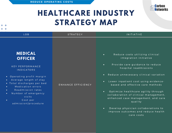

<span id="page-13-0"></span>

| <b>LOB</b>                                                                                                                                                                                                                                                                                                                             | <b>STRATEGY</b>    | <b>INITIATIVE</b>                                                                                                                                                                                                                                                                                                                                                                                                                                                                                                                                    |
|----------------------------------------------------------------------------------------------------------------------------------------------------------------------------------------------------------------------------------------------------------------------------------------------------------------------------------------|--------------------|------------------------------------------------------------------------------------------------------------------------------------------------------------------------------------------------------------------------------------------------------------------------------------------------------------------------------------------------------------------------------------------------------------------------------------------------------------------------------------------------------------------------------------------------------|
| <b>MEDICAL</b><br><b>OFFICER</b><br><b>KEY PERFORMANCE</b><br><b>INDICATORS</b><br>• Operating profit margin<br>Average length of stay<br>• Total discharges per bed<br>Medication errors<br>$\bullet$<br>Readmission rates<br>$\bullet$<br>Number of emergency<br>$\bullet$<br>visits<br>Cost per<br>$\bullet$<br>admission/procedure | ENHANCE EFFICIENCY | Reduce costs utilizing clinical<br>$\bullet$<br>integration initiative<br>Provide care guidance to reduce<br>$\bullet$<br>hospital readmissions<br>Reduce unnecessary clinical variation<br>$\bullet$<br>Lower inpatient cost using evidence-<br>$\bullet$<br>based and effective care methods<br>Optimize healthcare agility through<br>$\bullet$<br>collaboration of clinical management,<br>enhanced case management, and care<br>quality<br>Develop physician collaborations to<br>$\bullet$<br>improve outcomes and reduce health<br>care costs |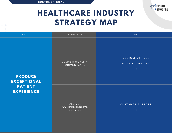

# **HEALTHCARE INDUSTRY STRATEGY MAP**

<span id="page-14-0"></span> $+ +$  $+ +$ 

| GOAL                                 | STRATEGY                            | LOB                                      |
|--------------------------------------|-------------------------------------|------------------------------------------|
| <b>PRODUCE</b><br><b>EXCEPTIONAL</b> | DELIVER QUALITY-<br>DRIVEN CARE     | MEDICAL OFFICER<br>NURSING OFFICER<br>1T |
| <b>PATIENT</b><br><b>EXPERIENCE</b>  | DELIVER<br>COMPREHENSIVE<br>SERVICE | CUSTOMER SUPPORT<br>1T                   |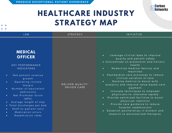

<span id="page-15-0"></span>

|                                                                                                                                                                                                                                                                                                                                                                                                                                                                                                                                                                                                                                                                                                                                                                                                                                                                                                                                                                                                                      | <b>LOB</b> | <b>STRATEGY</b> | INITIATIVE                                                                                                                                                            |
|----------------------------------------------------------------------------------------------------------------------------------------------------------------------------------------------------------------------------------------------------------------------------------------------------------------------------------------------------------------------------------------------------------------------------------------------------------------------------------------------------------------------------------------------------------------------------------------------------------------------------------------------------------------------------------------------------------------------------------------------------------------------------------------------------------------------------------------------------------------------------------------------------------------------------------------------------------------------------------------------------------------------|------------|-----------------|-----------------------------------------------------------------------------------------------------------------------------------------------------------------------|
| <b>MEDICAL</b><br>Leverage clinical data to improve<br>$\bullet$<br><b>OFFICER</b><br>quality and patient safety<br>health<br><b>KEY PERFORMANCE</b><br>Modernize medical devices and<br><b>INDICATORS</b><br>$\bullet$<br>machines<br>Net patient revenue<br>$\bullet$<br>clinical variation of care<br>growth<br>Develop metrics to Assist with<br>Operating income<br>$\bullet$<br>DELIVER QUALITY-<br>margin<br>DRIVEN CARE<br>payment<br>Number of equivalent<br>$\bullet$<br>Innovate techniques to empower<br>$\bullet$<br>admissions<br>physicians to intervene rapidly<br>Net Promoter Score<br>$\bullet$<br>Provide optimized facilities to boost<br>$\bullet$<br>(NPS)<br>physician retention<br>Average length of stay<br>$\bullet$<br>Provide care guidance to reduce<br>$\bullet$<br>• Total discharges per bed<br>hospital readmissions<br>Staff-to-patient ratio<br>$\bullet$<br>$\bullet$<br>Medication errors<br>$\bullet$<br>research to personalized therapies<br>Readmission rates<br>$\bullet$ |            |                 | • Concentrate on prevention and holistic<br>• Standardize care processes to reduce<br>analytics and improve value-based care<br>Establish partnerships in biotech and |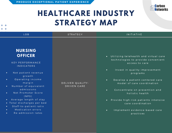

<span id="page-16-0"></span>

| LOB.                                                                                                                                                                                                                                                                                                                                                                                                                                                     | <b>STRATEGY</b>                 | <b>INITIATIVE</b>                                                                                                                                                                                                                                                                                                                                                                                                                             |
|----------------------------------------------------------------------------------------------------------------------------------------------------------------------------------------------------------------------------------------------------------------------------------------------------------------------------------------------------------------------------------------------------------------------------------------------------------|---------------------------------|-----------------------------------------------------------------------------------------------------------------------------------------------------------------------------------------------------------------------------------------------------------------------------------------------------------------------------------------------------------------------------------------------------------------------------------------------|
| <b>NURSING</b><br><b>OFFICER</b><br><b>KEY PERFORMANCE</b><br><b>INDICATORS</b><br>Net patient revenue<br>$\bullet$<br>growth<br>Operating income<br>$\bullet$<br>margin<br>Number of equivalent<br>$\bullet$<br>admissions<br>Net Promoter Score<br>$\bullet$<br>(NPS)<br>Average length of stay<br>$\bullet$<br>• Total discharges per bed<br>Staff-to-patient ratio<br>$\bullet$<br>Medication errors<br>$\bullet$<br>Re-admission rates<br>$\bullet$ | DELIVER QUALITY-<br>DRIVEN CARE | • Utilizing telehealth and virtual care<br>technologies to provide convenient<br>access to care<br>Invest in quality improvement<br>$\bullet$<br>programs<br>Develop a patient-centered care<br>$\bullet$<br>model of care coordination<br>Concentrate on prevention and<br>$\bullet$<br>holistic health<br>Provide high-risk patients intensive<br>$\bullet$<br>care coordination<br>Implement evidence-based care<br>$\bullet$<br>practices |
|                                                                                                                                                                                                                                                                                                                                                                                                                                                          |                                 |                                                                                                                                                                                                                                                                                                                                                                                                                                               |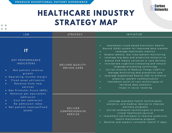

<span id="page-17-0"></span>

| <b>LOB</b>                                                                                                                                                                                                                                                 | <b>STRATEGY</b>                            | <b>INITIATIVE</b>                                                                                                                                                                                                                                                                                                                                                                                                                                                                                                                                                                                                                                                                                                                       |
|------------------------------------------------------------------------------------------------------------------------------------------------------------------------------------------------------------------------------------------------------------|--------------------------------------------|-----------------------------------------------------------------------------------------------------------------------------------------------------------------------------------------------------------------------------------------------------------------------------------------------------------------------------------------------------------------------------------------------------------------------------------------------------------------------------------------------------------------------------------------------------------------------------------------------------------------------------------------------------------------------------------------------------------------------------------------|
| IT<br><b>KEY PERFORMANCE</b><br><b>INDICATORS</b><br>Net patient revenue<br>$\bullet$<br>growth<br>Operating income margin<br>Fixed asset utilization<br>Revenue from new<br>$\bullet$<br>services<br>• Net Promoter Score (NPS)<br>Revenue per equivalent | DELIVER QUALITY-<br>DRIVEN CARE            | Implement cloud-based Electronic Health<br>$\bullet$ .<br>Record (EHR) system for improved data transfer<br>Leverage healthcare robotics<br>Enable remote, real-time patient monitoring<br>$\bullet$<br>Leverage big data and predictive analytics to<br>$\bullet$<br>expose and reduce variances in care delivery<br>Incorporate cognitive computing and natural<br>$\bullet$<br>language processing technology<br>Utilize Internet of Medical Things (IoMT) to<br>$\bullet$ .<br>manage monitoring and preventive care<br>Leverage Augmented Reality (AR) to enhance<br>$\bullet$<br>physician-patient communication<br>Implement point of care technologies to<br>$\bullet$<br>optimize data analytics<br>Invest in social listening |
| admission<br>Cost per admission<br>$\bullet$<br>Re-admission rates<br>• Net patient revenue/fixed<br>assets                                                                                                                                                | DELIVER<br>COMPREHENSIVE<br><b>SERVICE</b> | Leverage wearable health technologies,<br>$\bullet$ .<br>analytics, and medical devices to improve<br>wellness programs<br>Utilize telehealth technologies to provide<br>$\bullet$<br>virtual healthcare services<br>Implement technologies to improve predictive<br>$\bullet$<br>health maintenance program<br>Develop and support consumer health IT apps<br>$\bullet$                                                                                                                                                                                                                                                                                                                                                                |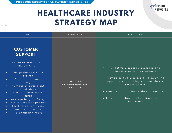

<span id="page-18-0"></span>

| <b>LOB</b>                                                                                                                                                                                                                                                                                                                                                                                                                                                | <b>STRATEGY</b>                            | <b>INITIATIVE</b>                                                                                                                                                                                                                                                                        |
|-----------------------------------------------------------------------------------------------------------------------------------------------------------------------------------------------------------------------------------------------------------------------------------------------------------------------------------------------------------------------------------------------------------------------------------------------------------|--------------------------------------------|------------------------------------------------------------------------------------------------------------------------------------------------------------------------------------------------------------------------------------------------------------------------------------------|
| <b>CUSTOMER</b><br><b>SUPPORT</b><br><b>KEY PERFORMANCE</b><br><b>INDICATORS</b><br>Net patient revenue<br>$\bullet$<br>growth<br>Operating income<br>$\bullet$<br>margin<br>Number of equivalent<br>$\bullet$<br>admissions<br>Net Promoter Score<br>$\bullet$<br>(NPS)<br>Average length of stay<br>$\bullet$<br>• Total discharges per bed<br>Staff-to-patient ratio<br>$\bullet$<br>Medication errors<br>$\bullet$<br>Re-admission rates<br>$\bullet$ | DELIVER<br>COMPREHENSIVE<br><b>SERVICE</b> | Effectively capture, evaluate and<br>$\bullet$<br>measure patient experience<br>· Provide self-service tools - e.g., online<br>appointment booking and healthcare<br>record access<br>• Provide support for telehealth services<br>· Leverage technology to reduce patient<br>wait times |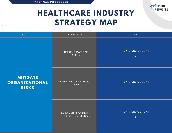

#### **HEALTHCARE INDUSTRY STRATEGY MAP**

<span id="page-19-0"></span> $+ +$  $+ +$ 

| GOAL                                              | STRATEGY                              | <b>LOB</b>                                 |
|---------------------------------------------------|---------------------------------------|--------------------------------------------|
| <b>MITIGATE</b><br>ORGANIZATIONAL<br><b>RISKS</b> | IMPROVE PATIENT<br>SAFETY             | RISK MANAGEMENT<br> T                      |
|                                                   | REDUCE OPERATIONAL<br>RISKS           | RISK MANAGEMENT                            |
|                                                   | ESTABLISH CYBER-<br>THREAT RESILIENCE | RISK MANAGEMENT<br>$\mathsf{I} \mathsf{T}$ |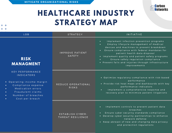

<span id="page-20-0"></span>

| <b>LOB</b>                                                                                                                                                                                                               | <b>STRATEGY</b>                       | INITIATIVE                                                                                                                                                                                                                                                                                                                                                                                                                |
|--------------------------------------------------------------------------------------------------------------------------------------------------------------------------------------------------------------------------|---------------------------------------|---------------------------------------------------------------------------------------------------------------------------------------------------------------------------------------------------------------------------------------------------------------------------------------------------------------------------------------------------------------------------------------------------------------------------|
| <b>RISK</b><br><b>MANAGMENT</b>                                                                                                                                                                                          | IMPROVE PATIENT<br><b>SAFETY</b>      | Implement infection prevention programs<br>$\bullet$ .<br>Employ lifecycle management of medical<br>$\bullet$<br>devices and machines to prevent breakdown<br>Ensure compliance with federal mandates for<br>$\bullet$ .<br>patient health data disposal<br>. Implement quality and patient safety programs<br>Ensure safety regulation compliance<br>• Prevent falls and injuries through infrastructure<br>improvements |
| <b>KEY PERFORMANCE</b><br><b>INDICATORS</b><br>• Operating income margin<br>Compliance expense<br>Medication errors<br>$\bullet$<br>Fraudulent claims<br>$\bullet$<br>Number of breaches<br>$\bullet$<br>Cost per breach | REDUCE OPERATIONAL<br><b>RISKS</b>    | · Optimize regulatory compliance with risk-based<br>performance<br>• Provide risk heat maps and dashboards with key<br>performance indicators<br>Implement a comprehensive response and<br>$\bullet$ .<br>recovery plan to minimize patient litigations                                                                                                                                                                   |
|                                                                                                                                                                                                                          | ESTABLISH CYBER-<br>THREAT RESILIENCE | Implement controls to prevent patient data<br>$\bullet$<br>breaches<br>Ensure cyber security standards compliance<br>$\bullet$<br>• Develop cyber security partnerships to enhance<br>network defense<br>• Keep abreast of new and changing data privacy<br>and protection regulations                                                                                                                                    |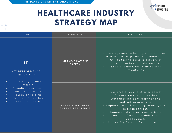

<span id="page-21-0"></span>

| <b>LOB</b>                                                                                                                                                                                                                                                             | <b>STRATEGY</b>                       | <b>INITIATIVE</b>                                                                                                                                                                                                                                                                                                                                                                               |
|------------------------------------------------------------------------------------------------------------------------------------------------------------------------------------------------------------------------------------------------------------------------|---------------------------------------|-------------------------------------------------------------------------------------------------------------------------------------------------------------------------------------------------------------------------------------------------------------------------------------------------------------------------------------------------------------------------------------------------|
| IT<br><b>KEY PERFORMANCE</b><br><b>INDICATORS</b><br>Operating income<br>$\bullet$<br>margin<br>Compliance expense<br>$\bullet$<br>Medication errors<br>$\bullet$<br>Fraudulent claims<br>$\bullet$<br>Number of breaches<br>$\bullet$<br>Cost per breach<br>$\bullet$ | IMPROVE PATIENT<br>SAFETY             | Leverage new technologies to improve<br>$\bullet$ .<br>effectiveness of patient communication<br>Utilize technologies to assist with<br>$\bullet$<br>predictive health maintenance<br>Enable remote, real-time patient<br>$\bullet$<br>monitoring                                                                                                                                               |
|                                                                                                                                                                                                                                                                        | ESTABLISH CYBER-<br>THREAT RESILIENCE | Use predictive analytics to detect<br>$\bullet$<br>future attacks and breaches<br>Automate incident response and<br>$\bullet$<br>mitigation processes<br>. Improve network visibility to recognize<br>potential threats<br>Improve data security and privacy<br>$\bullet$<br>Ensure software scalability and<br>$\bullet$<br>adaptiveness<br>Utilize Big Data for fraud protection<br>$\bullet$ |